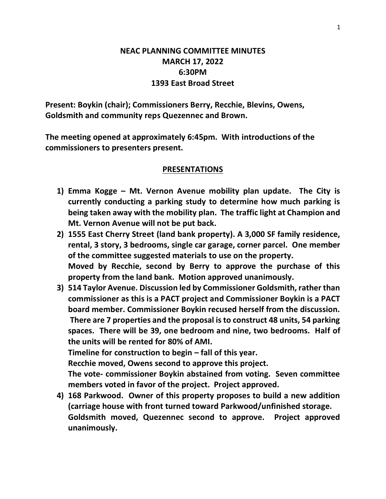## **NEAC PLANNING COMMITTEE MINUTES MARCH 17, 2022 6:30PM 1393 East Broad Street**

**Present: Boykin (chair); Commissioners Berry, Recchie, Blevins, Owens, Goldsmith and community reps Quezennec and Brown.**

**The meeting opened at approximately 6:45pm. With introductions of the commissioners to presenters present.**

## **PRESENTATIONS**

- **1) Emma Kogge – Mt. Vernon Avenue mobility plan update. The City is currently conducting a parking study to determine how much parking is being taken away with the mobility plan. The traffic light at Champion and Mt. Vernon Avenue will not be put back.**
- **2) 1555 East Cherry Street (land bank property). A 3,000 SF family residence, rental, 3 story, 3 bedrooms, single car garage, corner parcel. One member of the committee suggested materials to use on the property. Moved by Recchie, second by Berry to approve the purchase of this property from the land bank. Motion approved unanimously.**
- **3) 514 Taylor Avenue. Discussion led by Commissioner Goldsmith, rather than commissioner as this is a PACT project and Commissioner Boykin is a PACT board member. Commissioner Boykin recused herself from the discussion. There are 7 properties and the proposal is to construct 48 units, 54 parking spaces. There will be 39, one bedroom and nine, two bedrooms. Half of the units will be rented for 80% of AMI. Timeline for construction to begin – fall of this year. Recchie moved, Owens second to approve this project. The vote- commissioner Boykin abstained from voting. Seven committee**
- **members voted in favor of the project. Project approved. 4) 168 Parkwood. Owner of this property proposes to build a new addition**
- **(carriage house with front turned toward Parkwood/unfinished storage. Goldsmith moved, Quezennec second to approve. Project approved unanimously.**